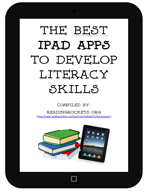# THE BEST ipad apps TO DEVELOP LITERACY skills

### Compiled by:

READINGrockets.org [<http://www.readingrockets.org/teaching/reading101/literacyapps/>](http://www.readingrockets.org/teaching/reading101/literacyapps/)

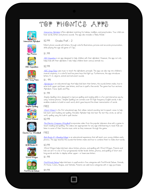### TOP PHONICS APPS



Interactive [Alphabet](http://itunes.apple.com/us/app/interactive-alphabet-abc-flash/id383967580?mt=8) offers alphabet matching for babies, toddlers, and preschoolers. Your child can hear words, letters and phonics sounds. This app also includes a "Baby Mode."

#### Interactive Alphabet

#### \$2.99 Grades PreK – 2

Match phonic sounds with letters, through colorful illustrations, pictures and accurate pronunciation, while playing the age old game of I Spy.

#### \$1.99



iSpy Phonics

ABC [Expedition](http://itunes.apple.com/us/app/abc-expedition/id417310661?mt=8) is an app designed to help children with their alphabet. However, this app not only helps kids with their alphabet; it also helps children learn various animals too.

#### \$2.99



ABC [Song](https://itunes.apple.com/us/app/abc-song-piano/id578274195?mt=8) Piano uses music to teach the alphabetic principle. This app can also tap into children's musical creativity; it is colorful and has piano keys that light up. Furthermore, this app introduces letters A-Z, objects, animal and instrument sounds.

#### \$1. 99

[Alphabytes](http://itunes.apple.com/us/app/alphabytes/id423710441?mt=8) is an educational app that helps kids learn their letters, the sounds letters make, how to write both upper and lower case letters, and how to spell a few words. The game has four sections: Alphabet, Trace, Spell, and Play.

#### \$1.99

Simplex [Spelling](http://itunes.apple.com/us/app/simplex-spelling-free-lite/id465715154?mt=8) Lite is designed to improve spelling and reading skills in a fun and interactive way by using "reverse phonics." Simplex Spelling Lite contains over 50 high frequency English words; it also enables students to build on each word, which goes beyond the sheer memorization of words.

#### FREE

Word [Wizard](http://itunes.apple.com/us/app/word-wizard-talking-movable/id447312716?mt=8) is the first educational app that utilizes natural sounding text-to-speech voices to help kids learn word building and spelling. Movable Alphabet help kids hear the text they wrote, as well as verify spelling using the built-in spell checker.

#### \$2.99

The Electric [Company](http://itunes.apple.com/us/app/electric-company-wordball!/id407957216?mt=8) Wordball incorporates video from the popular television show with a game to teach reading and spelling. The videos are appropriate for any age child learning to read. Kids can listen to some of their favorite music artist as they maneuver through the game.

#### FREE



Bob Books #I -Reading Magic is an educational experience that will teach your young children early phonics. This app teaches the sounds that letters make and how to combine them to make short words.

#### \$3.99

\$1.99

Word [Wagon](http://itunes.apple.com/us/app/word-wagon-by-duck-duck-moose/id423629048?mt=8) helps kids learn about letters, phonics, and spelling with Word Wagon. Parents and kids can set it to one of four progressively harder levels: letters, phonics, and spelling of short and long words and also to display either upper- or lowercase letters.

Word Wagon



[FirstWords](http://itunes.apple.com/us/app/first-words-deluxe/id337462979?mt=8) Deluxe helps kids learn to spell words in five categories with FirstWords Deluxe: Animals, At Home, Colors, Shapes, and Vehicles. Parents can add more categories with in-app purchases.

\$4.99









Spell













Word Wizard



Electric Co. Wordball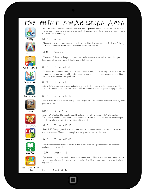# TOP PRINT AWARENESS APPS





Alphabetic





 Alphabetical Order \$0.99 Grade: PreK – K



Dr. Seuss's ABC



Intro to Letters





[Shape-O](http://itunes.apple.com/us/app/shape-o-abcs/id415766828?mt=8) ABCs has children put words with pictures in one of the program's 100 plus puzzles. Voiceovers of the letters help children learn the correct annunciation and the app lets parents adjust the difficultly level to customize it to fit their child's needs.

[Starfall](http://itunes.apple.com/us/app/starfall-abcs/id395623983?mt=8) ABC's displays each letter in upper and lowercase and then shows how the letters are

used in sentences. Children can also play letter games, such as word mazes.

Shape-O ABC's





Story Patch

\$2.99 Grade: PreK – K

\$1.99 Grade: PreK – K

[Story](http://itunes.apple.com/us/app/story-patch/id388613157?mt=8) Patch allows the student to create a story from a template (good for those who need some guidance) or from scratch.

 $$2.99$  Grade: K – 5

Tap N Learn - Learn to [Spell's](http://itunes.apple.com/sg/app/tap-n-learn-learn-to-spell/id373755917?mt=8) three different modes allow children to listen and learn words, matchup letter blocks to form the name of the item featured, and finally drag blocks to form words without any prompts.

Tap N Learn – Learn to Spell

FREE Grade: 3 – 5









\$18.99 Grade: K – 2

personal to them.





\$3. 99 Grade: PreK

Intro to [Letters](http://itunes.apple.com/us/app/intro-to-letters-by-montessorium/id387232375?mt=8) helps children read and write letters A-Z in both capital and lowercase forms with flashcards. Soundcards let your child record and listen to themselves as they practice saying each letter.

Dr. [Seuss's](http://itunes.apple.com/us/app/dr.-seusss-abc/id354855128?mt=8) ABC has three levels, "Read to Me," "Read it Myself," and "Auto Play," which allows children

### \$4.99 Grade: PreK – K

[Pictello](http://itunes.apple.com/us/app/pictello/id397858008?mt=8) allows the user to create "talking" books with pictures — students can make their own story that is



the alphabet — take a photo, choose a frame, give it a name. Then make a movie of all your photos to

[Alphabetic](http://itunes.apple.com/us/app/alphabetic/id300304923?mt=8) makes identifying letters a game for your child as they have to search for letters A through Z while the letters spin around on the screen and before time runs out.

[ABC](http://itunes.apple.com/app/abc-spy/id483577483?mt=8) Spy challenges children to create their own ABC experience by taking photos for each letter of

### \$1.99 Grade: K

share with friends and family!

\$1.99 Grade: 3 – 5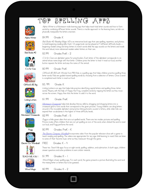## TOP SPELLING APPS

the word aloud, more advanced readers select letters on their own.

button repeats the letter and says the name of the animal.

Alpha Writer is a Montessori-style learning app that helps teach kids letter sounds and how to form words by combining different letter sounds. There's a tactile approach to the learning here, as kids can

Bob Books #2: Reading Magic HD is an interactive book app that uses spelling, repetition, and phonics to build beginning reading skills. Each 12-page book can be played at 4 different difficulty levels beginning readers drag and drop letters to match words while the app sounds out the letters and reads

C Is for Cow is an alphabet game for preschoolers. Each letter of the alphabet corresponds to an animal whose name begin with that letter. Children press the letter to hear it read out loud, another



\$4.99 Grade: K

physically manipulate the letters onscreen.



\$3.99 Grades PreK – 2



J Bob Books #2



C is for Cow



Clifford's BE Big



Licking Letters



Montessori Crosswords



Pogg



Electric Co. Wordball





TEACH ME: K & 1



Montessori [Crosswords](http://itunes.apple.com/us/app/montessori-crosswords-teach/id384334005?mt=8), helps kids develop literacy skills by dragging and dropping letters into a crossword grid to form words that correspond to the given pictures. Young children can drag letters around in the moveable alphabet and practice linking phonetic sounds to letters, while older kids can expand their vocabularies in the higher of three difficulty levels.

#### \$2.99 Grades PreK – 5

Pogg is a little green alien that acts out spelled words. There are two modes: pictures and spelling. Picture mode offers children that are not yet spelling an icon of the word, when clicked the word is read out loud, and Pogg performs the word.

#### \$0.99 Grades: PreK – K

The Electric [Company](http://itunes.apple.com/us/app/electric-company-wordball!/id407957216?mt=8) Wordball incorporates video from the popular television show with a game to teach reading and spelling. The videos are appropriate for any age child learning to read. Kids can listen to some of their favorite music artist as they maneuver through the game.

#### FREE Grades: K – 4

These two *Teach Me* apps focus on sight words, spelling, addition, and subtraction. In both apps, children answer questions and solve problems to earn sticker rewards.

#### \$1.99 Grades: K – 1



Word Magic a basic spelling app. For each word, the game presents a picture illustrating the word and the missing letter or letters has to be guessed.

\$0.99 Grades: K – 2







### \$0.99 Grade: PreK

Clifford's BE BIG with Words, from PBS Kids, is a spelling app that helps children practice spelling three letter words. Kids are guided toward spelling words by choosing from a selection of letters. Once a word is completed each letter is read out loud.

#### \$3. 99 Grade: K

Licking Letters is an app that helps kids practice identifying capital letters and spelling three-letter words. Players, with the help of Hoppy the Frog, complete words by tapping the letters as they move across the screen. Hoppy then licks the letter to add it to the word.

#### \$1.99 Grade: PreK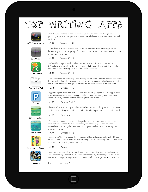



ABC Cursive Writer is an app for practicing cursive. Students have the options of practicing single letters- upper case or lower case, whole words, word sets, sentences, and numbers.

ABC Cursive Writer

\$0.99 Grades 3 – 5



iCan Write is a letter tracing app. Students can work from preset groups of letters or you can enter groups for them to use. Letters are shown one at a time with a demonstration.

iCanWrite



iWrite Words

 $iW$ rite Words helps to teach kids how to write the letters of the alphabet, numbers up to

\$1.99 Grades K - 1

20, and simple words using a dot-to-dot approach. It helps if kids already know how to count and read numbers up to 10 in order to play this game.

 $$2.99$  Grades K - 1

Kids [Writing](https://itunes.apple.com/us/app/kids-writing-pad-lite/id583920285?mt=8) Pad is a basic large-lined writing pad useful for practicing numbers and letters. It has a middle dotted line between two solid lines like most primary school paper so children can practice having the appropriate parts of the letters or numbers in the right areas.

#### Kids Writing Pad



Popplet

[SentenceBuilder](http://itunes.apple.com/us/app/sentence-builder-for-ipad/id364197515?mt=8) is an app that helps children learn to build grammatically correct sentences about a given picture. Special attention is paid to the connector words.

#### Sentence Builder



Story Builder



Teach Me: I<sup>st</sup> Grade



\$1.99 Grade 1

[Toontastic](http://itunes.apple.com/us/app/toontastic/id404693282) is a creative learning tool that empowers kids to draw, animate, and share their own stories through imaginative play. Toontastic teaches key storytelling principles. Children are walked through creating the story arc: setup, conflict, challenge, climax, or resolution.

**Toontastic** 

FREE Grades: K – 5





Writing Pad

\$2. 99 Grades K – 3

[Popplet](http://itunes.apple.com/us/app/popplet/id374151636?mt=8) is a productivity app that also works as a mind mapping tool. Use the app to begin structuring the writing process. The app can also be used to create graphic organizers, classroom visuals, organize material according to text structures.



 $$4.99$  Grades K – 5



students learn sentence structure, sequencing, and inferencing. The app develops comprehension by asking children to respond to questions about a picture, helping them to



\$7.99 Grades 1 – 5

structure the story.

[TeachMe:](http://itunes.apple.com/us/app/teachme-1st-grade/id355940964?mt=8) 1st Grade is an app that focuses on writing, spelling, and math. With this app, children answer questions and solve problems using their own handwriting. The app then reads the answers using a writing recognition engine.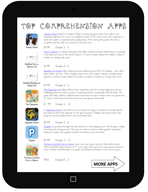# TOP COMPREHENSION APPS

complete and the child can continue to the next story.

[Aesop's](http://itunes.apple.com/us/app/aesops-quest/id442928041?mt=8) Quest, based on Aesop's Fables, is a learning game where the student must remember elements of a story to complete a level. At the end of each story segment or level, the student is rewarded with puzzle pieces. After solving the puzzle, the story is



#### Aesop's Quest



 MiniMod Fact or Opinion Lite



 MiniMod Reading for Details Lite



The Opposites



\$1. 99 Grades 3 – 12

In *[Opposite](http://itunes.apple.com/us/app/opposite-ocean-antonyms/id443213664?mt=8) Ocean*, Luna and Leo must master the magic of words by correctly identify the antonym that is the opposite of the given keyword. Children earn pearls when they drag the correct bubble word to the enchanted clam.

[Popplet](http://itunes.apple.com/us/app/popplet/id374151636?mt=8) is a productivity app that also works as a mind mapping tool. Use the app to begin structuring the writing process. The app can also be used to create graphic organizers,

#### Opposite Ocean



**Popplet** 



\$4.99 Grades 3 – 12

Professor Garfield Fact or [Opinion](http://itunes.apple.com/au/app/professor-garfield-fact-or/id401257010?mt=8) is part story, part game, and part online safety lesson. When Garfield's friend receives an "F" on his report about goats for using opinions instead of facts, Professor Garfield steps in to explain the differences between a fact and an opinion.

classroom visuals, and organize material according to text structures.

 Professor Garfield Fact or Opinion

FREE Grades K – 2



#### \$3.99 Grades 2 – 5

\$0.99 Grades 2 – 6

marker on a bingo style card.

[Reading](http://itunes.apple.com/us/app/minimod-reading-for-details/id409669762?mt=8&ign-mpt=uo%3D4) For Details helps students practice identifying the 5W's of reading — who, what, where, when, and why. After reading a short story, the student is asked a reading detail question, a correct answer allows the student to place on marker on a bingo style card.

Fact or [Opinion](http://itunes.apple.com/us/app/minimod-fact-or-opinion-lite/id492491726?mt=8) is a bingo style game that helps students practice determining if a passage is factually accurate or the writer's opinion. A correct answer allows the student to place a

#### \$3.99 Grades 2 – 6

The [Opposites](http://itunes.apple.com/us/app/the-opposites/id480194638?mt=8) app helps children learn vocabulary and the corresponding antonyms by challenging them to match up pairs of opposing words in increasingly difficult levels. The game also helps children understand the importance of word context, and is an opportunity for them to think about how the words they use oppose other words.

\$0.99 Grades 2 – 6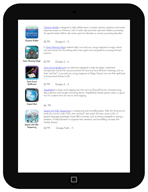

[Question](http://itunes.apple.com/us/app/question-builder/id360577727?mt=8) Builder is designed to help children learn to answer abstract questions and create responses based on inference. Use of audio clips promotes improved auditory processing for special needs children with autism spectrum disorders or sensory processing disorders.

Question Builder

\$5.99 Grades K – 5



In *Same [Meaning](http://itunes.apple.com/us/app/same-meaning-magic-synonyms/id443212030?mt=8) Magic* students help Luna and Leo, young magicians at magic school, toss word stones into the wishing well to earn gold coins and jewels by choosing the best synonym.

Same Sound [Spellbound](http://itunes.apple.com/app/id442983953) is an adventure designed to help the player understand homophones (words that are pronounced the same but have different meanings, such as "bee" and "be"). Luna and Leo, young magicians at Magic School, must use their spell book

Same Meaning Magic

\$0.99 Grades 2 – 6

to bring animal statues to life.

\$0.99 Grades 2 – 6



Same Sound **Spellbound** 



Simple Mind

\$6. 99

familiar themes.



Speech with Milo: Sequencing

Speech with Milo: [Sequencing](http://itunes.apple.com/us/app/speech-with-milo-sequencing/id431803095?mt=8) is a sequencing and storytelling game. Slide the three picture cards into correct order (first, next, and last), then watch the story come to life. A speech–language pathologist chose Milo's activities, such as hitting a baseball or eating a sandwich, to help kids learn to organize time, sentence, and storytelling concepts with

[SimpleMind](http://itunes.apple.com/us/app/simplemind-for-iphone-mind/id304515487?mt=8) is a basic mind mapping tool that turns an iPhone/iPod into a brainstorming, idea collection and thought structuring device. SimpleMind's limited options make it a good

\$2.99 Grades PreK – 4

tool for students that are new to mind mapping.

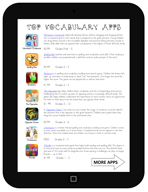



Montessori [Crosswords](http://itunes.apple.com/us/app/montessori-crosswords-teach/id384334005?mt=8), helps kids develop literacy skills by dragging and dropping letters into a crossword grid to form words that correspond to the given pictures. Young children can drag letters around in the moveable alphabet and practice linking phonetic sounds to letters, while older kids can expand their vocabularies in the higher of three difficulty levels.

Montessori Crosswords



Spelling Bee



Bookworm



for them to think about how the words they use oppose other words.

The Opposites



\$1. 99 Grades 3 – 12

In [Opposite](http://itunes.apple.com/us/app/opposite-ocean-antonyms/id443213664?mt=8) Ocean, Luna and Leo must master the magic of words by correctly identify the antonym that is the opposite of the given keyword. Children earn pearls when they drag the correct bubble word to the enchanted clam.

The [Opposites](http://itunes.apple.com/us/app/the-opposites/id480194638?mt=8) app helps children learn vocabulary and the corresponding antonyms by challenging them to match up pairs of opposing words in increasingly difficult levels. The game also helps children understand the importance of word context, and is an opportunity

#### Opposite Ocean



**Chicktionary** 



[Chicktionary](http://itunes.apple.com/us/app/chicktionary-for-ipad/id365374807?mt=8) is a chicken themed spelling and vocabulary-building word game. Children create as many words as possible out of seven letters. Completed words can be tapped to view their definition. There are multiple levels and children can choose a timed or untimed mode.

FREE Grades 2 – 4

\$0.99 Grades 2 – 6

[Wurdle](http://itunes.apple.com/us/app/wurdle/id287712243?mt=8), is a crossword style game that helps build reading and spelling skills. The object is to find and trace as many words as possible before the time runs out. The default letter grid size of 4x4 works well for beginners but those wanting a challenge can play on larger boards — up to 8x8.

\$1.99 Grades 1 – 3





\$0.99 Grades 2 – 4

\$1.99 Grades 2 – 4

[Spelling](https://play.google.com/store/apps/details?id=com.socratica.mobile.spelling) Bee teaches and tests kids on spelling and vocabulary word skills. After studying a wordlist, children are presented with a definition and an audio prompt of the word.

[Bookworm](http://itunes.apple.com/us/app/bookworm/id307176281?mt=8) is a spelling and vocabulary building word search game. Children link letters left, right, up, and down to build words to feed "Lex" the bookworm. The longer the word the

higher the score. The game can be played with or without time limits.